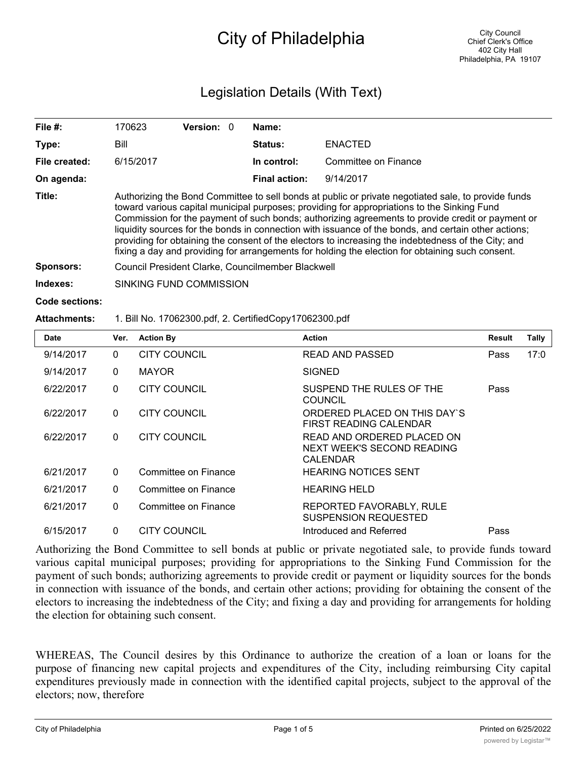## City of Philadelphia

## Legislation Details (With Text)

| File $#$ :     | 170623                                                                                                                                                                                                                                                                                                                                                                                                                                                                                                                                                                                                                    | <b>Version: 0</b> |  | Name:                |                      |  |  |
|----------------|---------------------------------------------------------------------------------------------------------------------------------------------------------------------------------------------------------------------------------------------------------------------------------------------------------------------------------------------------------------------------------------------------------------------------------------------------------------------------------------------------------------------------------------------------------------------------------------------------------------------------|-------------------|--|----------------------|----------------------|--|--|
| Type:          | Bill                                                                                                                                                                                                                                                                                                                                                                                                                                                                                                                                                                                                                      |                   |  | <b>Status:</b>       | <b>ENACTED</b>       |  |  |
| File created:  | 6/15/2017                                                                                                                                                                                                                                                                                                                                                                                                                                                                                                                                                                                                                 |                   |  | In control:          | Committee on Finance |  |  |
| On agenda:     |                                                                                                                                                                                                                                                                                                                                                                                                                                                                                                                                                                                                                           |                   |  | <b>Final action:</b> | 9/14/2017            |  |  |
| Title:         | Authorizing the Bond Committee to sell bonds at public or private negotiated sale, to provide funds<br>toward various capital municipal purposes; providing for appropriations to the Sinking Fund<br>Commission for the payment of such bonds; authorizing agreements to provide credit or payment or<br>liquidity sources for the bonds in connection with issuance of the bonds, and certain other actions;<br>providing for obtaining the consent of the electors to increasing the indebtedness of the City; and<br>fixing a day and providing for arrangements for holding the election for obtaining such consent. |                   |  |                      |                      |  |  |
| Sponsors:      | Council President Clarke, Councilmember Blackwell                                                                                                                                                                                                                                                                                                                                                                                                                                                                                                                                                                         |                   |  |                      |                      |  |  |
| Indexes:       | SINKING FUND COMMISSION                                                                                                                                                                                                                                                                                                                                                                                                                                                                                                                                                                                                   |                   |  |                      |                      |  |  |
| Code sections: |                                                                                                                                                                                                                                                                                                                                                                                                                                                                                                                                                                                                                           |                   |  |                      |                      |  |  |

## **Attachments:** 1. Bill No. 17062300.pdf, 2. CertifiedCopy17062300.pdf

| <b>Date</b> | Ver.         | <b>Action By</b>     | <b>Action</b>                                                        | Result | <b>Tally</b> |
|-------------|--------------|----------------------|----------------------------------------------------------------------|--------|--------------|
| 9/14/2017   | $\mathbf{0}$ | <b>CITY COUNCIL</b>  | READ AND PASSED                                                      | Pass   | 17:0         |
| 9/14/2017   | $\mathbf{0}$ | <b>MAYOR</b>         | <b>SIGNED</b>                                                        |        |              |
| 6/22/2017   | $\mathbf{0}$ | <b>CITY COUNCIL</b>  | SUSPEND THE RULES OF THE<br><b>COUNCIL</b>                           | Pass   |              |
| 6/22/2017   | $\mathbf{0}$ | <b>CITY COUNCIL</b>  | ORDERED PLACED ON THIS DAY'S<br>FIRST READING CALENDAR               |        |              |
| 6/22/2017   | $\mathbf{0}$ | CITY COUNCIL         | READ AND ORDERED PLACED ON<br>NEXT WEEK'S SECOND READING<br>CALENDAR |        |              |
| 6/21/2017   | $\mathbf{0}$ | Committee on Finance | <b>HEARING NOTICES SENT</b>                                          |        |              |
| 6/21/2017   | $\mathbf{0}$ | Committee on Finance | <b>HEARING HELD</b>                                                  |        |              |
| 6/21/2017   | $\mathbf{0}$ | Committee on Finance | REPORTED FAVORABLY, RULE<br><b>SUSPENSION REQUESTED</b>              |        |              |
| 6/15/2017   | $\Omega$     | <b>CITY COUNCIL</b>  | Introduced and Referred                                              | Pass   |              |

Authorizing the Bond Committee to sell bonds at public or private negotiated sale, to provide funds toward various capital municipal purposes; providing for appropriations to the Sinking Fund Commission for the payment of such bonds; authorizing agreements to provide credit or payment or liquidity sources for the bonds in connection with issuance of the bonds, and certain other actions; providing for obtaining the consent of the electors to increasing the indebtedness of the City; and fixing a day and providing for arrangements for holding the election for obtaining such consent.

WHEREAS, The Council desires by this Ordinance to authorize the creation of a loan or loans for the purpose of financing new capital projects and expenditures of the City, including reimbursing City capital expenditures previously made in connection with the identified capital projects, subject to the approval of the electors; now, therefore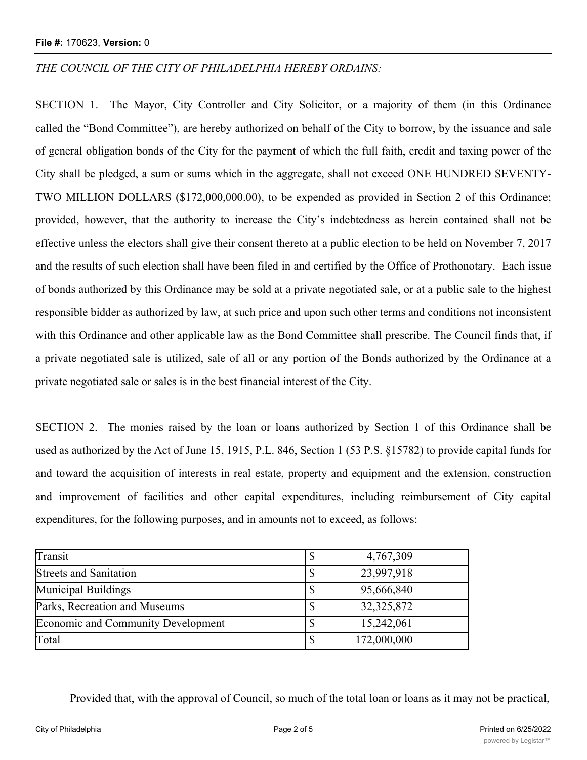## **File #:** 170623, **Version:** 0

*THE COUNCIL OF THE CITY OF PHILADELPHIA HEREBY ORDAINS:*

SECTION 1. The Mayor, City Controller and City Solicitor, or a majority of them (in this Ordinance called the "Bond Committee"), are hereby authorized on behalf of the City to borrow, by the issuance and sale of general obligation bonds of the City for the payment of which the full faith, credit and taxing power of the City shall be pledged, a sum or sums which in the aggregate, shall not exceed ONE HUNDRED SEVENTY-TWO MILLION DOLLARS (\$172,000,000.00), to be expended as provided in Section 2 of this Ordinance; provided, however, that the authority to increase the City's indebtedness as herein contained shall not be effective unless the electors shall give their consent thereto at a public election to be held on November 7, 2017 and the results of such election shall have been filed in and certified by the Office of Prothonotary. Each issue of bonds authorized by this Ordinance may be sold at a private negotiated sale, or at a public sale to the highest responsible bidder as authorized by law, at such price and upon such other terms and conditions not inconsistent with this Ordinance and other applicable law as the Bond Committee shall prescribe. The Council finds that, if a private negotiated sale is utilized, sale of all or any portion of the Bonds authorized by the Ordinance at a private negotiated sale or sales is in the best financial interest of the City.

SECTION 2. The monies raised by the loan or loans authorized by Section 1 of this Ordinance shall be used as authorized by the Act of June 15, 1915, P.L. 846, Section 1 (53 P.S. §15782) to provide capital funds for and toward the acquisition of interests in real estate, property and equipment and the extension, construction and improvement of facilities and other capital expenditures, including reimbursement of City capital expenditures, for the following purposes, and in amounts not to exceed, as follows:

| Transit                            | 4,767,309    |
|------------------------------------|--------------|
| <b>Streets and Sanitation</b>      | 23,997,918   |
| Municipal Buildings                | 95,666,840   |
| Parks, Recreation and Museums      | 32, 325, 872 |
| Economic and Community Development | 15,242,061   |
| Total                              | 172,000,000  |

Provided that, with the approval of Council, so much of the total loan or loans as it may not be practical,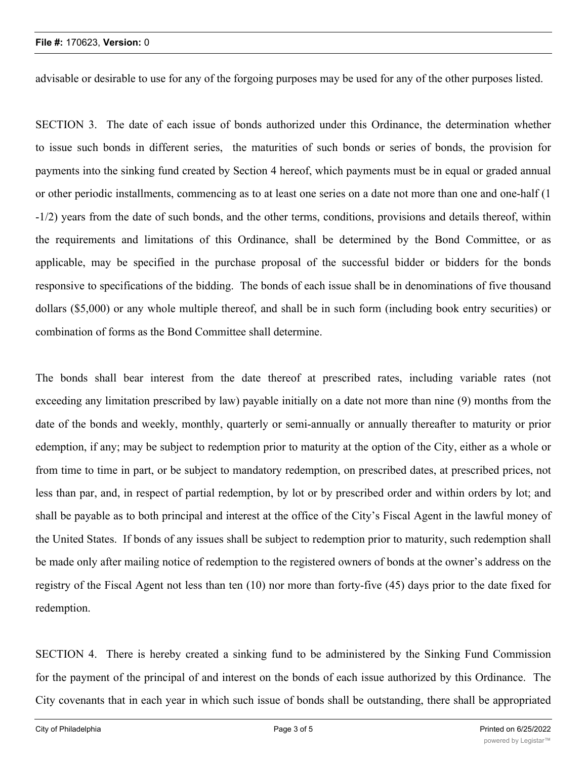advisable or desirable to use for any of the forgoing purposes may be used for any of the other purposes listed.

SECTION 3. The date of each issue of bonds authorized under this Ordinance, the determination whether to issue such bonds in different series, the maturities of such bonds or series of bonds, the provision for payments into the sinking fund created by Section 4 hereof, which payments must be in equal or graded annual or other periodic installments, commencing as to at least one series on a date not more than one and one-half (1 -1/2) years from the date of such bonds, and the other terms, conditions, provisions and details thereof, within the requirements and limitations of this Ordinance, shall be determined by the Bond Committee, or as applicable, may be specified in the purchase proposal of the successful bidder or bidders for the bonds responsive to specifications of the bidding. The bonds of each issue shall be in denominations of five thousand dollars (\$5,000) or any whole multiple thereof, and shall be in such form (including book entry securities) or combination of forms as the Bond Committee shall determine.

The bonds shall bear interest from the date thereof at prescribed rates, including variable rates (not exceeding any limitation prescribed by law) payable initially on a date not more than nine (9) months from the date of the bonds and weekly, monthly, quarterly or semi-annually or annually thereafter to maturity or prior edemption, if any; may be subject to redemption prior to maturity at the option of the City, either as a whole or from time to time in part, or be subject to mandatory redemption, on prescribed dates, at prescribed prices, not less than par, and, in respect of partial redemption, by lot or by prescribed order and within orders by lot; and shall be payable as to both principal and interest at the office of the City's Fiscal Agent in the lawful money of the United States. If bonds of any issues shall be subject to redemption prior to maturity, such redemption shall be made only after mailing notice of redemption to the registered owners of bonds at the owner's address on the registry of the Fiscal Agent not less than ten (10) nor more than forty-five (45) days prior to the date fixed for redemption.

SECTION 4. There is hereby created a sinking fund to be administered by the Sinking Fund Commission for the payment of the principal of and interest on the bonds of each issue authorized by this Ordinance. The City covenants that in each year in which such issue of bonds shall be outstanding, there shall be appropriated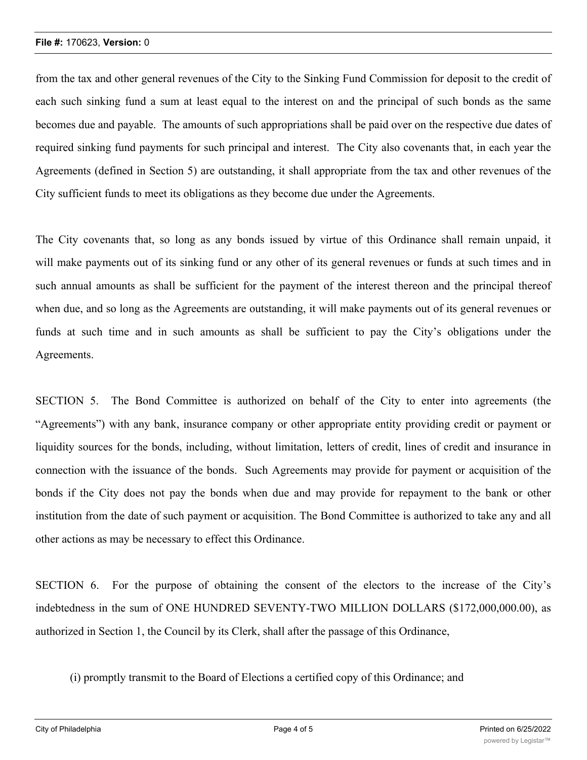from the tax and other general revenues of the City to the Sinking Fund Commission for deposit to the credit of each such sinking fund a sum at least equal to the interest on and the principal of such bonds as the same becomes due and payable. The amounts of such appropriations shall be paid over on the respective due dates of required sinking fund payments for such principal and interest. The City also covenants that, in each year the Agreements (defined in Section 5) are outstanding, it shall appropriate from the tax and other revenues of the City sufficient funds to meet its obligations as they become due under the Agreements.

The City covenants that, so long as any bonds issued by virtue of this Ordinance shall remain unpaid, it will make payments out of its sinking fund or any other of its general revenues or funds at such times and in such annual amounts as shall be sufficient for the payment of the interest thereon and the principal thereof when due, and so long as the Agreements are outstanding, it will make payments out of its general revenues or funds at such time and in such amounts as shall be sufficient to pay the City's obligations under the Agreements.

SECTION 5. The Bond Committee is authorized on behalf of the City to enter into agreements (the "Agreements") with any bank, insurance company or other appropriate entity providing credit or payment or liquidity sources for the bonds, including, without limitation, letters of credit, lines of credit and insurance in connection with the issuance of the bonds. Such Agreements may provide for payment or acquisition of the bonds if the City does not pay the bonds when due and may provide for repayment to the bank or other institution from the date of such payment or acquisition. The Bond Committee is authorized to take any and all other actions as may be necessary to effect this Ordinance.

SECTION 6. For the purpose of obtaining the consent of the electors to the increase of the City's indebtedness in the sum of ONE HUNDRED SEVENTY-TWO MILLION DOLLARS (\$172,000,000.00), as authorized in Section 1, the Council by its Clerk, shall after the passage of this Ordinance,

(i) promptly transmit to the Board of Elections a certified copy of this Ordinance; and